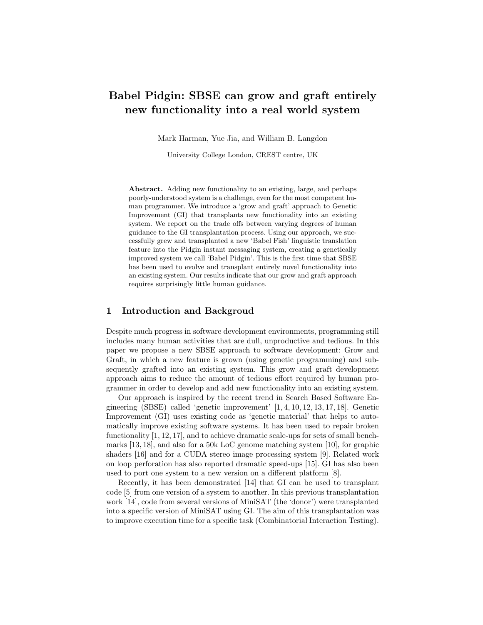# Babel Pidgin: SBSE can grow and graft entirely new functionality into a real world system

Mark Harman, Yue Jia, and William B. Langdon

University College London, CREST centre, UK

Abstract. Adding new functionality to an existing, large, and perhaps poorly-understood system is a challenge, even for the most competent human programmer. We introduce a 'grow and graft' approach to Genetic Improvement (GI) that transplants new functionality into an existing system. We report on the trade offs between varying degrees of human guidance to the GI transplantation process. Using our approach, we successfully grew and transplanted a new 'Babel Fish' linguistic translation feature into the Pidgin instant messaging system, creating a genetically improved system we call 'Babel Pidgin'. This is the first time that SBSE has been used to evolve and transplant entirely novel functionality into an existing system. Our results indicate that our grow and graft approach requires surprisingly little human guidance.

### 1 Introduction and Backgroud

Despite much progress in software development environments, programming still includes many human activities that are dull, unproductive and tedious. In this paper we propose a new SBSE approach to software development: Grow and Graft, in which a new feature is grown (using genetic programming) and subsequently grafted into an existing system. This grow and graft development approach aims to reduce the amount of tedious effort required by human programmer in order to develop and add new functionality into an existing system.

Our approach is inspired by the recent trend in Search Based Software Engineering (SBSE) called 'genetic improvement' [1, 4, 10, 12, 13, 17, 18]. Genetic Improvement (GI) uses existing code as 'genetic material' that helps to automatically improve existing software systems. It has been used to repair broken functionality [1, 12, 17], and to achieve dramatic scale-ups for sets of small benchmarks [13, 18], and also for a 50k LoC genome matching system [10], for graphic shaders [16] and for a CUDA stereo image processing system [9]. Related work on loop perforation has also reported dramatic speed-ups [15]. GI has also been used to port one system to a new version on a different platform [8].

Recently, it has been demonstrated [14] that GI can be used to transplant code [5] from one version of a system to another. In this previous transplantation work [14], code from several versions of MiniSAT (the 'donor') were transplanted into a specific version of MiniSAT using GI. The aim of this transplantation was to improve execution time for a specific task (Combinatorial Interaction Testing).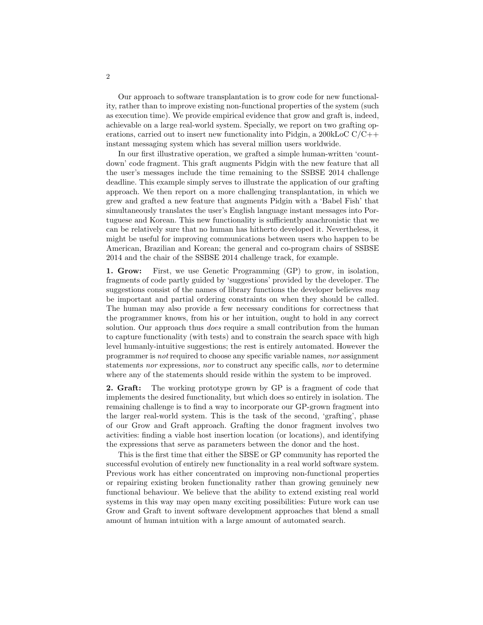Our approach to software transplantation is to grow code for new functionality, rather than to improve existing non-functional properties of the system (such as execution time). We provide empirical evidence that grow and graft is, indeed, achievable on a large real-world system. Specially, we report on two grafting operations, carried out to insert new functionality into Pidgin, a 200kLoC C/C++ instant messaging system which has several million users worldwide.

In our first illustrative operation, we grafted a simple human-written 'countdown' code fragment. This graft augments Pidgin with the new feature that all the user's messages include the time remaining to the SSBSE 2014 challenge deadline. This example simply serves to illustrate the application of our grafting approach. We then report on a more challenging transplantation, in which we grew and grafted a new feature that augments Pidgin with a 'Babel Fish' that simultaneously translates the user's English language instant messages into Portuguese and Korean. This new functionality is sufficiently anachronistic that we can be relatively sure that no human has hitherto developed it. Nevertheless, it might be useful for improving communications between users who happen to be American, Brazilian and Korean; the general and co-program chairs of SSBSE 2014 and the chair of the SSBSE 2014 challenge track, for example.

1. Grow: First, we use Genetic Programming (GP) to grow, in isolation, fragments of code partly guided by 'suggestions' provided by the developer. The suggestions consist of the names of library functions the developer believes may be important and partial ordering constraints on when they should be called. The human may also provide a few necessary conditions for correctness that the programmer knows, from his or her intuition, ought to hold in any correct solution. Our approach thus *does* require a small contribution from the human to capture functionality (with tests) and to constrain the search space with high level humanly-intuitive suggestions; the rest is entirely automated. However the programmer is not required to choose any specific variable names, nor assignment statements nor expressions, nor to construct any specific calls, nor to determine where any of the statements should reside within the system to be improved.

2. Graft: The working prototype grown by GP is a fragment of code that implements the desired functionality, but which does so entirely in isolation. The remaining challenge is to find a way to incorporate our GP-grown fragment into the larger real-world system. This is the task of the second, 'grafting', phase of our Grow and Graft approach. Grafting the donor fragment involves two activities: finding a viable host insertion location (or locations), and identifying the expressions that serve as parameters between the donor and the host.

This is the first time that either the SBSE or GP community has reported the successful evolution of entirely new functionality in a real world software system. Previous work has either concentrated on improving non-functional properties or repairing existing broken functionality rather than growing genuinely new functional behaviour. We believe that the ability to extend existing real world systems in this way may open many exciting possibilities: Future work can use Grow and Graft to invent software development approaches that blend a small amount of human intuition with a large amount of automated search.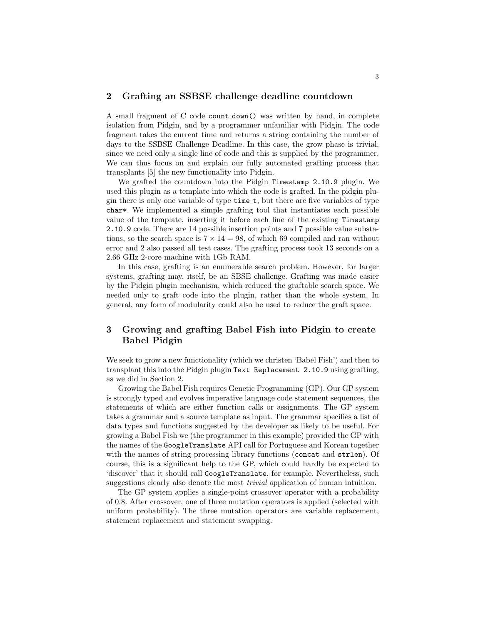### 2 Grafting an SSBSE challenge deadline countdown

A small fragment of C code count down() was written by hand, in complete isolation from Pidgin, and by a programmer unfamiliar with Pidgin. The code fragment takes the current time and returns a string containing the number of days to the SSBSE Challenge Deadline. In this case, the grow phase is trivial, since we need only a single line of code and this is supplied by the programmer. We can thus focus on and explain our fully automated grafting process that transplants [5] the new functionality into Pidgin.

We grafted the countdown into the Pidgin Timestamp 2.10.9 plugin. We used this plugin as a template into which the code is grafted. In the pidgin plugin there is only one variable of type time t, but there are five variables of type char\*. We implemented a simple grafting tool that instantiates each possible value of the template, inserting it before each line of the existing Timestamp 2.10.9 code. There are 14 possible insertion points and 7 possible value substations, so the search space is  $7 \times 14 = 98$ , of which 69 compiled and ran without error and 2 also passed all test cases. The grafting process took 13 seconds on a 2.66 GHz 2-core machine with 1Gb RAM.

In this case, grafting is an enumerable search problem. However, for larger systems, grafting may, itself, be an SBSE challenge. Grafting was made easier by the Pidgin plugin mechanism, which reduced the graftable search space. We needed only to graft code into the plugin, rather than the whole system. In general, any form of modularity could also be used to reduce the graft space.

## 3 Growing and grafting Babel Fish into Pidgin to create Babel Pidgin

We seek to grow a new functionality (which we christen 'Babel Fish') and then to transplant this into the Pidgin plugin Text Replacement 2.10.9 using grafting, as we did in Section 2.

Growing the Babel Fish requires Genetic Programming (GP). Our GP system is strongly typed and evolves imperative language code statement sequences, the statements of which are either function calls or assignments. The GP system takes a grammar and a source template as input. The grammar specifies a list of data types and functions suggested by the developer as likely to be useful. For growing a Babel Fish we (the programmer in this example) provided the GP with the names of the GoogleTranslate API call for Portuguese and Korean together with the names of string processing library functions (concat and strlen). Of course, this is a significant help to the GP, which could hardly be expected to 'discover' that it should call GoogleTranslate, for example. Nevertheless, such suggestions clearly also denote the most trivial application of human intuition.

The GP system applies a single-point crossover operator with a probability of 0.8. After crossover, one of three mutation operators is applied (selected with uniform probability). The three mutation operators are variable replacement, statement replacement and statement swapping.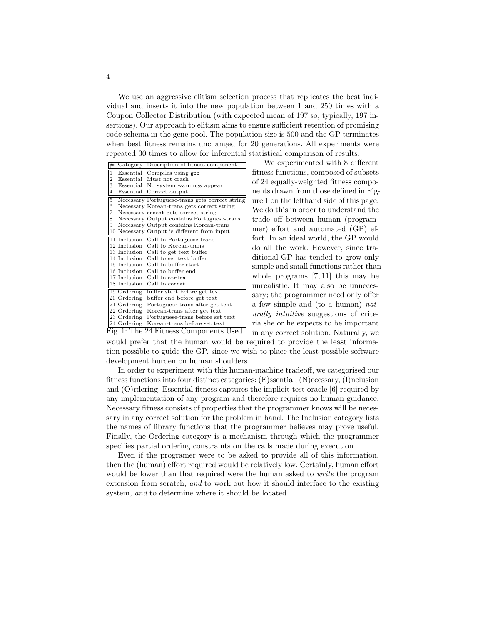We use an aggressive elitism selection process that replicates the best individual and inserts it into the new population between 1 and 250 times with a Coupon Collector Distribution (with expected mean of 197 so, typically, 197 insertions). Our approach to elitism aims to ensure sufficient retention of promising code schema in the gene pool. The population size is 500 and the GP terminates when best fitness remains unchanged for 20 generations. All experiments were repeated 30 times to allow for inferential statistical comparison of results.

| #                                      | Category        | Description of fitness component               |  |  |  |
|----------------------------------------|-----------------|------------------------------------------------|--|--|--|
| 1                                      | Essential       | Compiles using gcc                             |  |  |  |
| $\overline{2}$                         | Essential       | Must not crash                                 |  |  |  |
| 3                                      | Essential       | No system warnings appear                      |  |  |  |
| $\overline{4}$                         | Essential       | Correct output                                 |  |  |  |
| $\overline{5}$                         |                 | Necessary Portuguese-trans gets correct string |  |  |  |
| 6                                      |                 | Necessary Korean-trans gets correct string     |  |  |  |
| 7                                      |                 | Necessary concat gets correct string           |  |  |  |
| 8                                      |                 | Necessary Output contains Portuguese-trans     |  |  |  |
| 9                                      |                 | Necessary Output contains Korean-trans         |  |  |  |
|                                        |                 | 10 Necessary Output is different from input    |  |  |  |
|                                        | 11 Inclusion    | Call to Portuguese-trans                       |  |  |  |
|                                        | $12$  Inclusion | Call to Korean-trans                           |  |  |  |
|                                        | $13$ Inclusion  | Call to get text buffer                        |  |  |  |
|                                        | $14$  Inclusion | Call to set text buffer                        |  |  |  |
|                                        | 15 Inclusion    | Call to buffer start                           |  |  |  |
|                                        | $16$  Inclusion | Call to buffer end                             |  |  |  |
|                                        | $17$ Inclusion  | Call to strlen                                 |  |  |  |
|                                        | 18 Inclusion    | Call to concat                                 |  |  |  |
|                                        | 19 Ordering     | buffer start before get text                   |  |  |  |
|                                        | $20$ Ordering   | buffer end before get text                     |  |  |  |
|                                        | $21$ Ordering   | Portuguese-trans after get text                |  |  |  |
|                                        | $22$ Ordering   | Korean-trans after get text                    |  |  |  |
|                                        | $23$ Ordering   | Portuguese-trans before set text               |  |  |  |
|                                        | $24$ Ordering   | Korean-trans before set text                   |  |  |  |
| Fig. 1: The 24 Fitness Components Used |                 |                                                |  |  |  |

We experimented with 8 different fitness functions, composed of subsets of 24 equally-weighted fitness components drawn from those defined in Figure 1 on the lefthand side of this page. We do this in order to understand the trade off between human (programmer) effort and automated (GP) effort. In an ideal world, the GP would do all the work. However, since traditional GP has tended to grow only simple and small functions rather than whole programs [7, 11] this may be unrealistic. It may also be unnecessary; the programmer need only offer a few simple and (to a human) naturally intuitive suggestions of criteria she or he expects to be important in any correct solution. Naturally, we

would prefer that the human would be required to provide the least information possible to guide the GP, since we wish to place the least possible software development burden on human shoulders.

In order to experiment with this human-machine tradeoff, we categorised our fitness functions into four distinct categories: (E)ssential, (N)ecessary, (I)nclusion and (O)rdering. Essential fitness captures the implicit test oracle [6] required by any implementation of any program and therefore requires no human guidance. Necessary fitness consists of properties that the programmer knows will be necessary in any correct solution for the problem in hand. The Inclusion category lists the names of library functions that the programmer believes may prove useful. Finally, the Ordering category is a mechanism through which the programmer specifies partial ordering constraints on the calls made during execution.

Even if the programer were to be asked to provide all of this information, then the (human) effort required would be relatively low. Certainly, human effort would be lower than that required were the human asked to *write* the program extension from scratch, and to work out how it should interface to the existing system, *and* to determine where it should be located.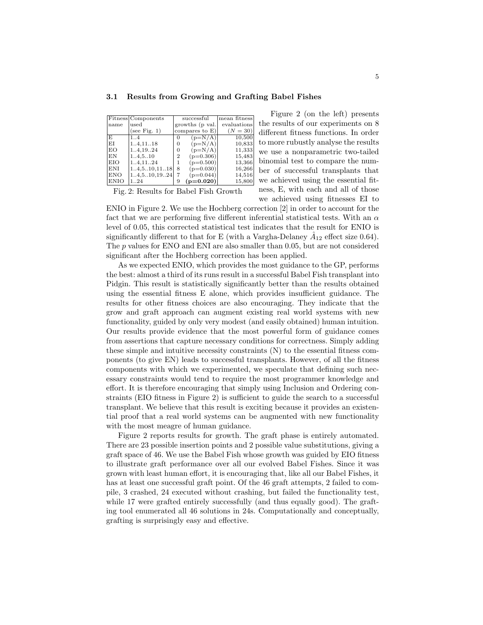#### 3.1 Results from Growing and Grafting Babel Fishes

|             | Fitness Components |                | successful                 | mean fitness |
|-------------|--------------------|----------------|----------------------------|--------------|
| name        | used               |                | growths $(p \text{ val.})$ | evaluations  |
|             | (see Fig. 1)       |                | compares to $E$ )          | $(N = 30)$   |
| F.          | 1.4                |                | $(p=N/A)$                  | 10,500       |
| EI          | 14, 1118           | 0              | $(p=N/A)$                  | 10,833       |
| EO          | 14, 1924           | 0              | $(p=N/A)$                  | 11,333       |
| EN          | 1.4.5.10           | $\overline{2}$ | $(p=0.306)$                | 15,483       |
| EIO         | 14,1124            | 1              | $(p=0.500)$                | 13,366       |
| <b>ENI</b>  | 14,510,1118        | 8              | $(p=0.030)$                | 16,266       |
| <b>ENO</b>  | 14,510,1924        | 7              | $(p=0.044)$                | 14,516       |
| <b>ENIO</b> | 124                | 9              | $(p=0.020)$                | 15,800       |

Figure 2 (on the left) presents the results of our experiments on 8 different fitness functions. In order to more rubustly analyse the results we use a nonparametric two-tailed binomial test to compare the number of successful transplants that we achieved using the essential fitness, E, with each and all of those we achieved using fitnesses EI to

Fig. 2: Results for Babel Fish Growth

ENIO in Figure 2. We use the Hochberg correction [2] in order to account for the fact that we are performing five different inferential statistical tests. With an  $\alpha$ level of 0.05, this corrected statistical test indicates that the result for ENIO is significantly different to that for E (with a Vargha-Delaney  $\hat{A}_{12}$  effect size 0.64). The p values for ENO and ENI are also smaller than 0.05, but are not considered significant after the Hochberg correction has been applied.

As we expected ENIO, which provides the most guidance to the GP, performs the best: almost a third of its runs result in a successful Babel Fish transplant into Pidgin. This result is statistically significantly better than the results obtained using the essential fitness E alone, which provides insufficient guidance. The results for other fitness choices are also encouraging. They indicate that the grow and graft approach can augment existing real world systems with new functionality, guided by only very modest (and easily obtained) human intuition. Our results provide evidence that the most powerful form of guidance comes from assertions that capture necessary conditions for correctness. Simply adding these simple and intuitive necessity constraints (N) to the essential fitness components (to give EN) leads to successful transplants. However, of all the fitness components with which we experimented, we speculate that defining such necessary constraints would tend to require the most programmer knowledge and effort. It is therefore encouraging that simply using Inclusion and Ordering constraints (EIO fitness in Figure 2) is sufficient to guide the search to a successful transplant. We believe that this result is exciting because it provides an existential proof that a real world systems can be augmented with new functionality with the most meagre of human guidance.

Figure 2 reports results for growth. The graft phase is entirely automated. There are 23 possible insertion points and 2 possible value substitutions, giving a graft space of 46. We use the Babel Fish whose growth was guided by EIO fitness to illustrate graft performance over all our evolved Babel Fishes. Since it was grown with least human effort, it is encouraging that, like all our Babel Fishes, it has at least one successful graft point. Of the 46 graft attempts, 2 failed to compile, 3 crashed, 24 executed without crashing, but failed the functionality test, while 17 were grafted entirely successfully (and thus equally good). The grafting tool enumerated all 46 solutions in 24s. Computationally and conceptually, grafting is surprisingly easy and effective.